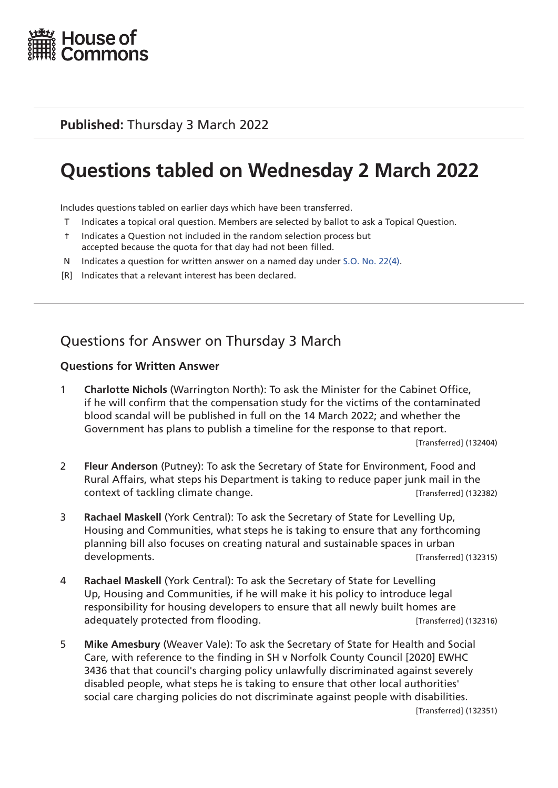

## **Published:** Thursday 3 March 2022

# **Questions tabled on Wednesday 2 March 2022**

Includes questions tabled on earlier days which have been transferred.

- T Indicates a topical oral question. Members are selected by ballot to ask a Topical Question.
- † Indicates a Question not included in the random selection process but accepted because the quota for that day had not been filled.
- N Indicates a question for written answer on a named day under [S.O. No. 22\(4\)](http://publications.parliament.uk/pa/cm201719/cmstords/0004/body.html#22(4)).
- [R] Indicates that a relevant interest has been declared.

# Questions for Answer on Thursday 3 March

#### **Questions for Written Answer**

1 **Charlotte Nichols** (Warrington North): To ask the Minister for the Cabinet Office, if he will confirm that the compensation study for the victims of the contaminated blood scandal will be published in full on the 14 March 2022; and whether the Government has plans to publish a timeline for the response to that report.

[Transferred] (132404)

- 2 **Fleur Anderson** (Putney): To ask the Secretary of State for Environment, Food and Rural Affairs, what steps his Department is taking to reduce paper junk mail in the context of tackling climate change. The context of tackling climate change.
- 3 **Rachael Maskell** (York Central): To ask the Secretary of State for Levelling Up, Housing and Communities, what steps he is taking to ensure that any forthcoming planning bill also focuses on creating natural and sustainable spaces in urban developments. Transferred (132315)
- 4 **Rachael Maskell** (York Central): To ask the Secretary of State for Levelling Up, Housing and Communities, if he will make it his policy to introduce legal responsibility for housing developers to ensure that all newly built homes are adequately protected from flooding. The same controll (132316) and adequately protected from flooding.
- 5 **Mike Amesbury** (Weaver Vale): To ask the Secretary of State for Health and Social Care, with reference to the finding in SH v Norfolk County Council [2020] EWHC 3436 that that council's charging policy unlawfully discriminated against severely disabled people, what steps he is taking to ensure that other local authorities' social care charging policies do not discriminate against people with disabilities.

[Transferred] (132351)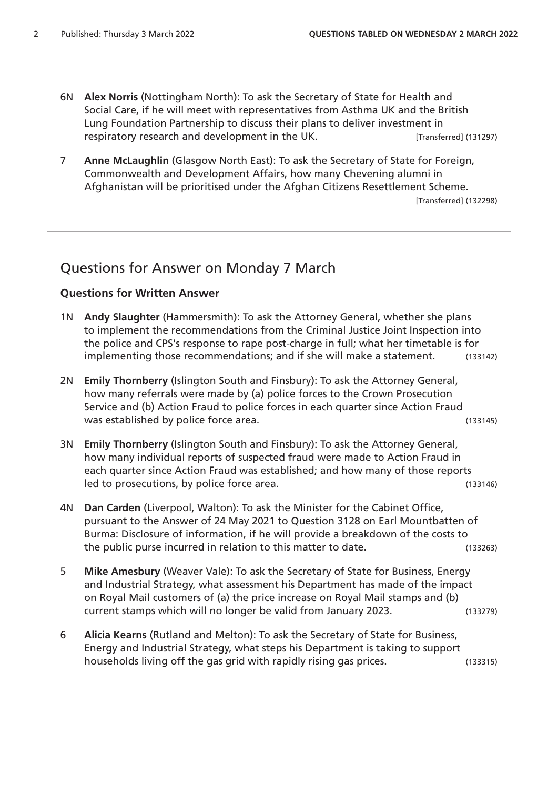- 6N **Alex Norris** (Nottingham North): To ask the Secretary of State for Health and Social Care, if he will meet with representatives from Asthma UK and the British Lung Foundation Partnership to discuss their plans to deliver investment in respiratory research and development in the UK. [Transferred] (131297)
- 7 **Anne McLaughlin** (Glasgow North East): To ask the Secretary of State for Foreign, Commonwealth and Development Affairs, how many Chevening alumni in Afghanistan will be prioritised under the Afghan Citizens Resettlement Scheme. [Transferred] (132298)

## Questions for Answer on Monday 7 March

#### **Questions for Written Answer**

- 1N **Andy Slaughter** (Hammersmith): To ask the Attorney General, whether she plans to implement the recommendations from the Criminal Justice Joint Inspection into the police and CPS's response to rape post-charge in full; what her timetable is for implementing those recommendations; and if she will make a statement. (133142)
- 2N **Emily Thornberry** (Islington South and Finsbury): To ask the Attorney General, how many referrals were made by (a) police forces to the Crown Prosecution Service and (b) Action Fraud to police forces in each quarter since Action Fraud was established by police force area. (133145)
- 3N **Emily Thornberry** (Islington South and Finsbury): To ask the Attorney General, how many individual reports of suspected fraud were made to Action Fraud in each quarter since Action Fraud was established; and how many of those reports led to prosecutions, by police force area. The same state of the state (133146)
- 4N **Dan Carden** (Liverpool, Walton): To ask the Minister for the Cabinet Office, pursuant to the Answer of 24 May 2021 to Question 3128 on Earl Mountbatten of Burma: Disclosure of information, if he will provide a breakdown of the costs to the public purse incurred in relation to this matter to date. (133263)
- 5 **Mike Amesbury** (Weaver Vale): To ask the Secretary of State for Business, Energy and Industrial Strategy, what assessment his Department has made of the impact on Royal Mail customers of (a) the price increase on Royal Mail stamps and (b) current stamps which will no longer be valid from January 2023. (133279)
- 6 **Alicia Kearns** (Rutland and Melton): To ask the Secretary of State for Business, Energy and Industrial Strategy, what steps his Department is taking to support households living off the gas grid with rapidly rising gas prices. (133315)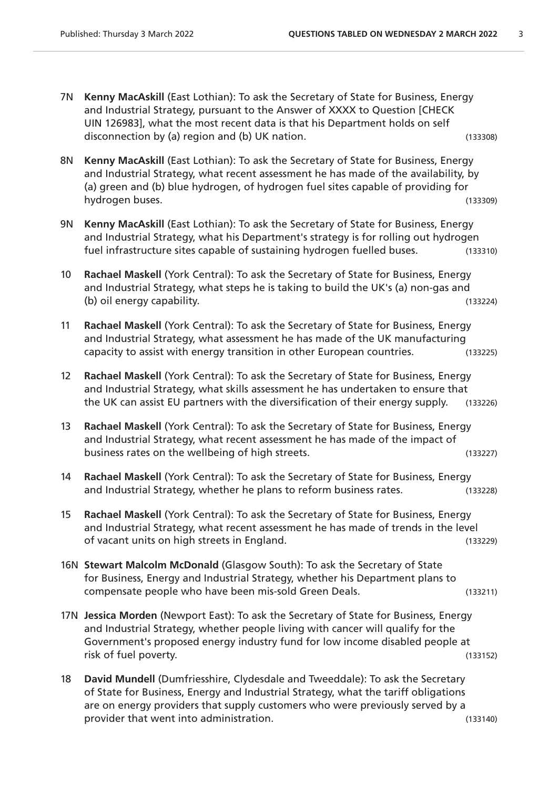- 7N **Kenny MacAskill** (East Lothian): To ask the Secretary of State for Business, Energy and Industrial Strategy, pursuant to the Answer of XXXX to Question [CHECK UIN 126983], what the most recent data is that his Department holds on self disconnection by (a) region and (b) UK nation. (133308)
- 8N **Kenny MacAskill** (East Lothian): To ask the Secretary of State for Business, Energy and Industrial Strategy, what recent assessment he has made of the availability, by (a) green and (b) blue hydrogen, of hydrogen fuel sites capable of providing for hydrogen buses. (133309)
- 9N **Kenny MacAskill** (East Lothian): To ask the Secretary of State for Business, Energy and Industrial Strategy, what his Department's strategy is for rolling out hydrogen fuel infrastructure sites capable of sustaining hydrogen fuelled buses. (133310)
- 10 **Rachael Maskell** (York Central): To ask the Secretary of State for Business, Energy and Industrial Strategy, what steps he is taking to build the UK's (a) non-gas and (b) oil energy capability. (133224)
- 11 **Rachael Maskell** (York Central): To ask the Secretary of State for Business, Energy and Industrial Strategy, what assessment he has made of the UK manufacturing capacity to assist with energy transition in other European countries. (133225)
- 12 **Rachael Maskell** (York Central): To ask the Secretary of State for Business, Energy and Industrial Strategy, what skills assessment he has undertaken to ensure that the UK can assist EU partners with the diversification of their energy supply. (133226)
- 13 **Rachael Maskell** (York Central): To ask the Secretary of State for Business, Energy and Industrial Strategy, what recent assessment he has made of the impact of business rates on the wellbeing of high streets. The matrix of the matrix  $(133227)$
- 14 **Rachael Maskell** (York Central): To ask the Secretary of State for Business, Energy and Industrial Strategy, whether he plans to reform business rates. (133228)
- 15 **Rachael Maskell** (York Central): To ask the Secretary of State for Business, Energy and Industrial Strategy, what recent assessment he has made of trends in the level of vacant units on high streets in England. (133229)
- 16N **Stewart Malcolm McDonald** (Glasgow South): To ask the Secretary of State for Business, Energy and Industrial Strategy, whether his Department plans to compensate people who have been mis-sold Green Deals. (133211)
- 17N **Jessica Morden** (Newport East): To ask the Secretary of State for Business, Energy and Industrial Strategy, whether people living with cancer will qualify for the Government's proposed energy industry fund for low income disabled people at risk of fuel poverty. (133152)
- 18 **David Mundell** (Dumfriesshire, Clydesdale and Tweeddale): To ask the Secretary of State for Business, Energy and Industrial Strategy, what the tariff obligations are on energy providers that supply customers who were previously served by a provider that went into administration. The same state of the control of the control of the control of the control of the control of the control of the control of the control of the control of the control of the control of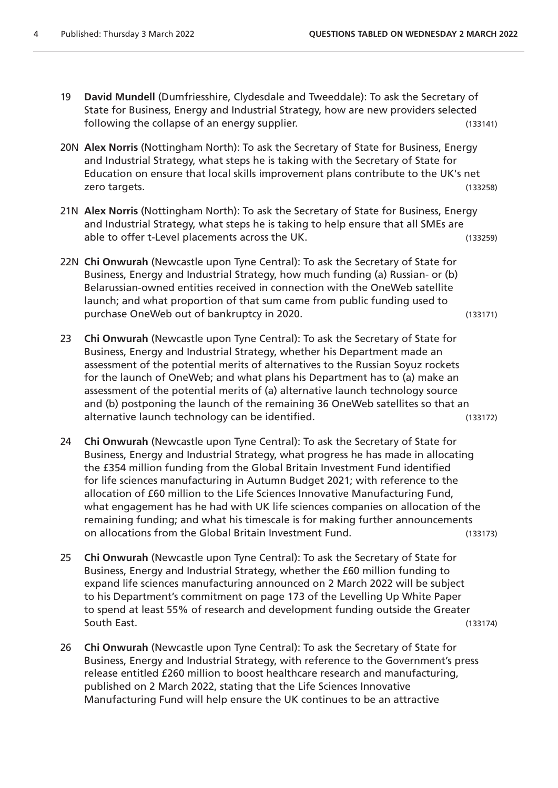- 19 **David Mundell** (Dumfriesshire, Clydesdale and Tweeddale): To ask the Secretary of State for Business, Energy and Industrial Strategy, how are new providers selected following the collapse of an energy supplier. (133141)
- 20N **Alex Norris** (Nottingham North): To ask the Secretary of State for Business, Energy and Industrial Strategy, what steps he is taking with the Secretary of State for Education on ensure that local skills improvement plans contribute to the UK's net zero targets. (133258)
- 21N **Alex Norris** (Nottingham North): To ask the Secretary of State for Business, Energy and Industrial Strategy, what steps he is taking to help ensure that all SMEs are able to offer t-Level placements across the UK. (133259)
- 22N **Chi Onwurah** (Newcastle upon Tyne Central): To ask the Secretary of State for Business, Energy and Industrial Strategy, how much funding (a) Russian- or (b) Belarussian-owned entities received in connection with the OneWeb satellite launch; and what proportion of that sum came from public funding used to purchase OneWeb out of bankruptcy in 2020. (133171)
- 23 **Chi Onwurah** (Newcastle upon Tyne Central): To ask the Secretary of State for Business, Energy and Industrial Strategy, whether his Department made an assessment of the potential merits of alternatives to the Russian Soyuz rockets for the launch of OneWeb; and what plans his Department has to (a) make an assessment of the potential merits of (a) alternative launch technology source and (b) postponing the launch of the remaining 36 OneWeb satellites so that an alternative launch technology can be identified. (133172)
- 24 **Chi Onwurah** (Newcastle upon Tyne Central): To ask the Secretary of State for Business, Energy and Industrial Strategy, what progress he has made in allocating the £354 million funding from the Global Britain Investment Fund identified for life sciences manufacturing in Autumn Budget 2021; with reference to the allocation of £60 million to the Life Sciences Innovative Manufacturing Fund, what engagement has he had with UK life sciences companies on allocation of the remaining funding; and what his timescale is for making further announcements on allocations from the Global Britain Investment Fund. (133173)
- 25 **Chi Onwurah** (Newcastle upon Tyne Central): To ask the Secretary of State for Business, Energy and Industrial Strategy, whether the £60 million funding to expand life sciences manufacturing announced on 2 March 2022 will be subject to his Department's commitment on page 173 of the Levelling Up White Paper to spend at least 55% of research and development funding outside the Greater South East. (133174)
- 26 **Chi Onwurah** (Newcastle upon Tyne Central): To ask the Secretary of State for Business, Energy and Industrial Strategy, with reference to the Government's press release entitled £260 million to boost healthcare research and manufacturing, published on 2 March 2022, stating that the Life Sciences Innovative Manufacturing Fund will help ensure the UK continues to be an attractive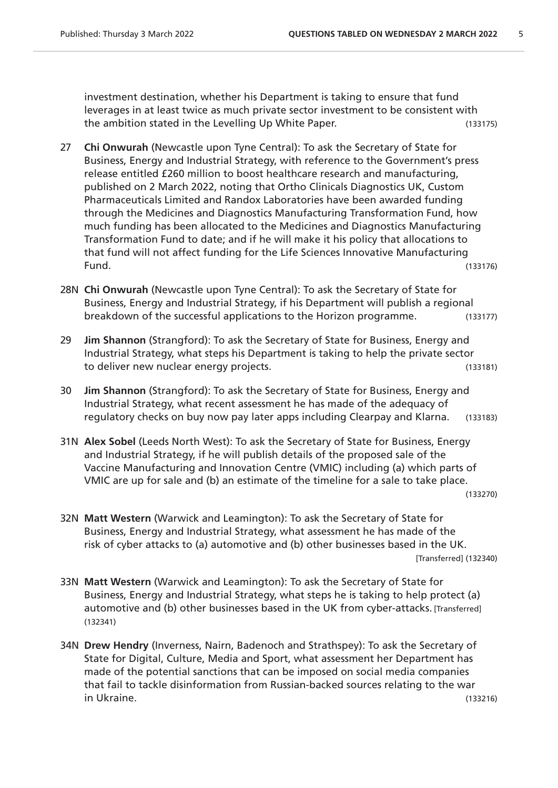investment destination, whether his Department is taking to ensure that fund leverages in at least twice as much private sector investment to be consistent with the ambition stated in the Levelling Up White Paper. (133175)

- 27 **Chi Onwurah** (Newcastle upon Tyne Central): To ask the Secretary of State for Business, Energy and Industrial Strategy, with reference to the Government's press release entitled £260 million to boost healthcare research and manufacturing, published on 2 March 2022, noting that Ortho Clinicals Diagnostics UK, Custom Pharmaceuticals Limited and Randox Laboratories have been awarded funding through the Medicines and Diagnostics Manufacturing Transformation Fund, how much funding has been allocated to the Medicines and Diagnostics Manufacturing Transformation Fund to date; and if he will make it his policy that allocations to that fund will not affect funding for the Life Sciences Innovative Manufacturing Fund. (133176)
- 28N **Chi Onwurah** (Newcastle upon Tyne Central): To ask the Secretary of State for Business, Energy and Industrial Strategy, if his Department will publish a regional breakdown of the successful applications to the Horizon programme. (133177)
- 29 **Jim Shannon** (Strangford): To ask the Secretary of State for Business, Energy and Industrial Strategy, what steps his Department is taking to help the private sector to deliver new nuclear energy projects. (133181)
- 30 **Jim Shannon** (Strangford): To ask the Secretary of State for Business, Energy and Industrial Strategy, what recent assessment he has made of the adequacy of regulatory checks on buy now pay later apps including Clearpay and Klarna. (133183)
- 31N **Alex Sobel** (Leeds North West): To ask the Secretary of State for Business, Energy and Industrial Strategy, if he will publish details of the proposed sale of the Vaccine Manufacturing and Innovation Centre (VMIC) including (a) which parts of VMIC are up for sale and (b) an estimate of the timeline for a sale to take place. (133270)
- 32N **Matt Western** (Warwick and Leamington): To ask the Secretary of State for Business, Energy and Industrial Strategy, what assessment he has made of the risk of cyber attacks to (a) automotive and (b) other businesses based in the UK. [Transferred] (132340)
- 33N **Matt Western** (Warwick and Leamington): To ask the Secretary of State for Business, Energy and Industrial Strategy, what steps he is taking to help protect (a) automotive and (b) other businesses based in the UK from cyber-attacks. [Transferred] (132341)
- 34N **Drew Hendry** (Inverness, Nairn, Badenoch and Strathspey): To ask the Secretary of State for Digital, Culture, Media and Sport, what assessment her Department has made of the potential sanctions that can be imposed on social media companies that fail to tackle disinformation from Russian-backed sources relating to the war in Ukraine. (133216)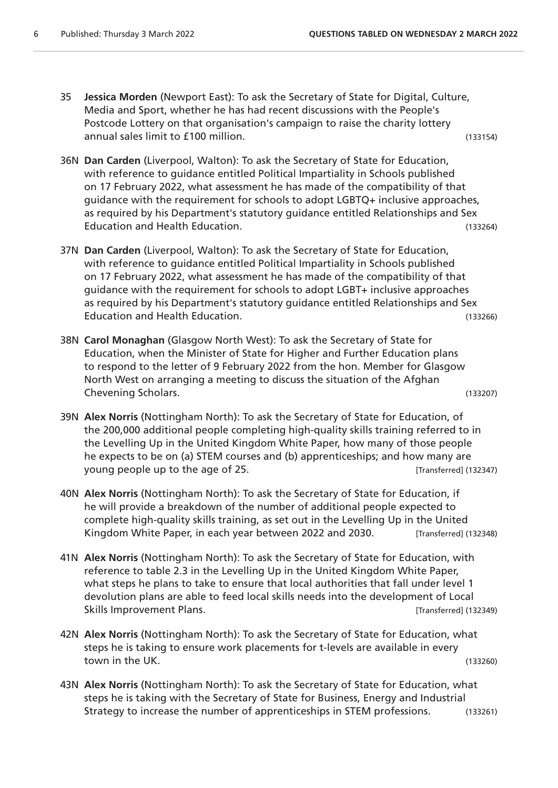35 **Jessica Morden** (Newport East): To ask the Secretary of State for Digital, Culture, Media and Sport, whether he has had recent discussions with the People's Postcode Lottery on that organisation's campaign to raise the charity lottery annual sales limit to £100 million. (133154)

- 36N **Dan Carden** (Liverpool, Walton): To ask the Secretary of State for Education, with reference to guidance entitled Political Impartiality in Schools published on 17 February 2022, what assessment he has made of the compatibility of that guidance with the requirement for schools to adopt LGBTQ+ inclusive approaches, as required by his Department's statutory guidance entitled Relationships and Sex Education and Health Education. (133264)
- 37N **Dan Carden** (Liverpool, Walton): To ask the Secretary of State for Education, with reference to guidance entitled Political Impartiality in Schools published on 17 February 2022, what assessment he has made of the compatibility of that guidance with the requirement for schools to adopt LGBT+ inclusive approaches as required by his Department's statutory guidance entitled Relationships and Sex Education and Health Education. (133266)
- 38N **Carol Monaghan** (Glasgow North West): To ask the Secretary of State for Education, when the Minister of State for Higher and Further Education plans to respond to the letter of 9 February 2022 from the hon. Member for Glasgow North West on arranging a meeting to discuss the situation of the Afghan Chevening Scholars. (133207)
- 39N **Alex Norris** (Nottingham North): To ask the Secretary of State for Education, of the 200,000 additional people completing high-quality skills training referred to in the Levelling Up in the United Kingdom White Paper, how many of those people he expects to be on (a) STEM courses and (b) apprenticeships; and how many are young people up to the age of 25. The same state of the state (132347)
- 40N **Alex Norris** (Nottingham North): To ask the Secretary of State for Education, if he will provide a breakdown of the number of additional people expected to complete high-quality skills training, as set out in the Levelling Up in the United Kingdom White Paper, in each year between 2022 and 2030. [Transferred] (132348)
- 41N **Alex Norris** (Nottingham North): To ask the Secretary of State for Education, with reference to table 2.3 in the Levelling Up in the United Kingdom White Paper, what steps he plans to take to ensure that local authorities that fall under level 1 devolution plans are able to feed local skills needs into the development of Local Skills Improvement Plans. Contract the Contract of Transferred] (132349)
- 42N **Alex Norris** (Nottingham North): To ask the Secretary of State for Education, what steps he is taking to ensure work placements for t-levels are available in every town in the UK. (133260)
- 43N **Alex Norris** (Nottingham North): To ask the Secretary of State for Education, what steps he is taking with the Secretary of State for Business, Energy and Industrial Strategy to increase the number of apprenticeships in STEM professions. (133261)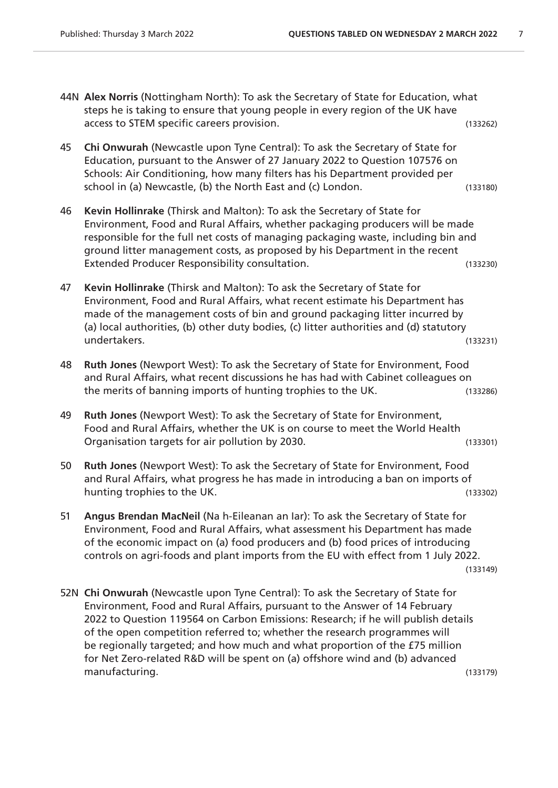- 44N **Alex Norris** (Nottingham North): To ask the Secretary of State for Education, what steps he is taking to ensure that young people in every region of the UK have access to STEM specific careers provision. (133262)
- 45 **Chi Onwurah** (Newcastle upon Tyne Central): To ask the Secretary of State for Education, pursuant to the Answer of 27 January 2022 to Question 107576 on Schools: Air Conditioning, how many filters has his Department provided per school in (a) Newcastle, (b) the North East and (c) London. (133180)
- 46 **Kevin Hollinrake** (Thirsk and Malton): To ask the Secretary of State for Environment, Food and Rural Affairs, whether packaging producers will be made responsible for the full net costs of managing packaging waste, including bin and ground litter management costs, as proposed by his Department in the recent Extended Producer Responsibility consultation. The matrix of the consultation of the consultation of the consultation of the consultation of the consultation of the consultation of the consultation of the consultation of t
- 47 **Kevin Hollinrake** (Thirsk and Malton): To ask the Secretary of State for Environment, Food and Rural Affairs, what recent estimate his Department has made of the management costs of bin and ground packaging litter incurred by (a) local authorities, (b) other duty bodies, (c) litter authorities and (d) statutory undertakers. (133231)
- 48 **Ruth Jones** (Newport West): To ask the Secretary of State for Environment, Food and Rural Affairs, what recent discussions he has had with Cabinet colleagues on the merits of banning imports of hunting trophies to the UK. (133286)
- 49 **Ruth Jones** (Newport West): To ask the Secretary of State for Environment, Food and Rural Affairs, whether the UK is on course to meet the World Health Organisation targets for air pollution by 2030. (133301)
- 50 **Ruth Jones** (Newport West): To ask the Secretary of State for Environment, Food and Rural Affairs, what progress he has made in introducing a ban on imports of hunting trophies to the UK. (133302)
- 51 **Angus Brendan MacNeil** (Na h-Eileanan an Iar): To ask the Secretary of State for Environment, Food and Rural Affairs, what assessment his Department has made of the economic impact on (a) food producers and (b) food prices of introducing controls on agri-foods and plant imports from the EU with effect from 1 July 2022. (133149)
- 52N **Chi Onwurah** (Newcastle upon Tyne Central): To ask the Secretary of State for Environment, Food and Rural Affairs, pursuant to the Answer of 14 February 2022 to Question 119564 on Carbon Emissions: Research; if he will publish details of the open competition referred to; whether the research programmes will be regionally targeted; and how much and what proportion of the £75 million for Net Zero-related R&D will be spent on (a) offshore wind and (b) advanced manufacturing. (133179)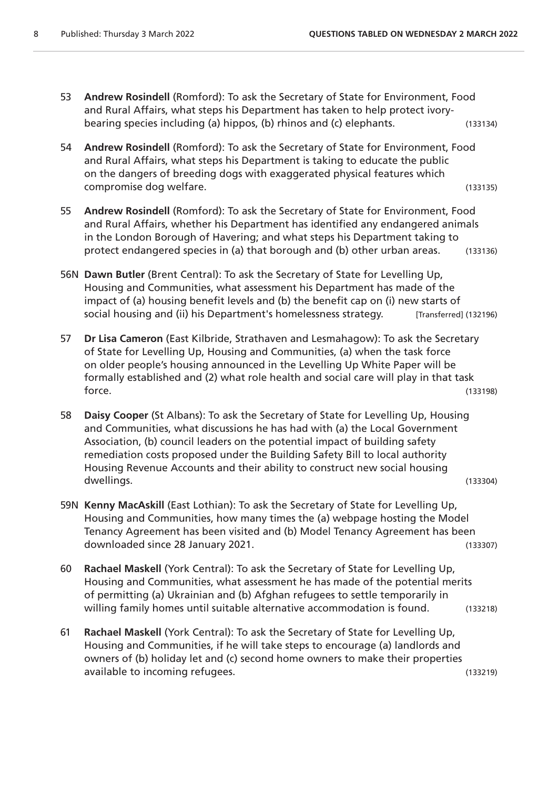- 53 **Andrew Rosindell** (Romford): To ask the Secretary of State for Environment, Food and Rural Affairs, what steps his Department has taken to help protect ivorybearing species including (a) hippos, (b) rhinos and (c) elephants. (133134)
- 54 **Andrew Rosindell** (Romford): To ask the Secretary of State for Environment, Food and Rural Affairs, what steps his Department is taking to educate the public on the dangers of breeding dogs with exaggerated physical features which compromise dog welfare. (133135)
- 55 **Andrew Rosindell** (Romford): To ask the Secretary of State for Environment, Food and Rural Affairs, whether his Department has identified any endangered animals in the London Borough of Havering; and what steps his Department taking to protect endangered species in (a) that borough and (b) other urban areas. (133136)
- 56N **Dawn Butler** (Brent Central): To ask the Secretary of State for Levelling Up, Housing and Communities, what assessment his Department has made of the impact of (a) housing benefit levels and (b) the benefit cap on (i) new starts of social housing and (ii) his Department's homelessness strategy. [Transferred] (132196)
- 57 **Dr Lisa Cameron** (East Kilbride, Strathaven and Lesmahagow): To ask the Secretary of State for Levelling Up, Housing and Communities, (a) when the task force on older people's housing announced in the Levelling Up White Paper will be formally established and (2) what role health and social care will play in that task force. (133198)
- 58 **Daisy Cooper** (St Albans): To ask the Secretary of State for Levelling Up, Housing and Communities, what discussions he has had with (a) the Local Government Association, (b) council leaders on the potential impact of building safety remediation costs proposed under the Building Safety Bill to local authority Housing Revenue Accounts and their ability to construct new social housing dwellings. (133304)
- 59N **Kenny MacAskill** (East Lothian): To ask the Secretary of State for Levelling Up, Housing and Communities, how many times the (a) webpage hosting the Model Tenancy Agreement has been visited and (b) Model Tenancy Agreement has been downloaded since 28 January 2021. (133307)
- 60 **Rachael Maskell** (York Central): To ask the Secretary of State for Levelling Up, Housing and Communities, what assessment he has made of the potential merits of permitting (a) Ukrainian and (b) Afghan refugees to settle temporarily in willing family homes until suitable alternative accommodation is found. (133218)
- 61 **Rachael Maskell** (York Central): To ask the Secretary of State for Levelling Up, Housing and Communities, if he will take steps to encourage (a) landlords and owners of (b) holiday let and (c) second home owners to make their properties available to incoming refugees. (133219)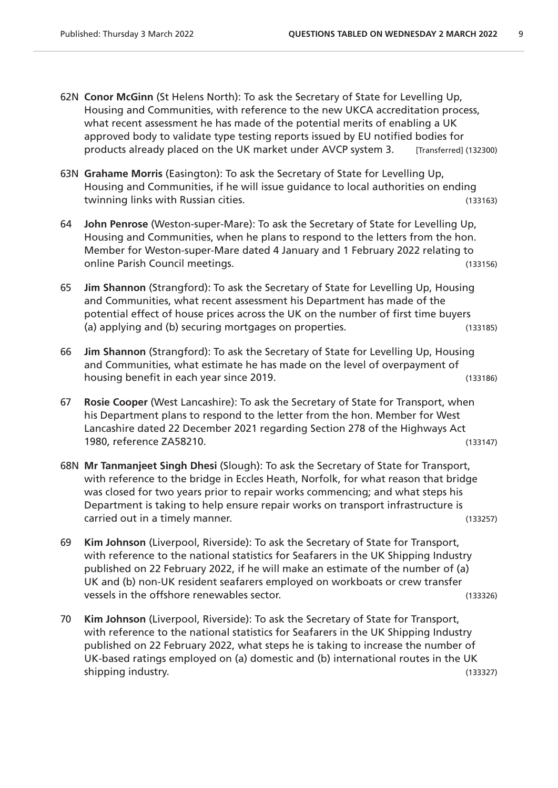- 62N **Conor McGinn** (St Helens North): To ask the Secretary of State for Levelling Up, Housing and Communities, with reference to the new UKCA accreditation process, what recent assessment he has made of the potential merits of enabling a UK approved body to validate type testing reports issued by EU notified bodies for products already placed on the UK market under AVCP system 3. [Transferred] (132300)
- 63N **Grahame Morris** (Easington): To ask the Secretary of State for Levelling Up, Housing and Communities, if he will issue guidance to local authorities on ending twinning links with Russian cities. (133163)
- 64 **John Penrose** (Weston-super-Mare): To ask the Secretary of State for Levelling Up, Housing and Communities, when he plans to respond to the letters from the hon. Member for Weston-super-Mare dated 4 January and 1 February 2022 relating to online Parish Council meetings. (133156)
- 65 **Jim Shannon** (Strangford): To ask the Secretary of State for Levelling Up, Housing and Communities, what recent assessment his Department has made of the potential effect of house prices across the UK on the number of first time buyers (a) applying and (b) securing mortgages on properties. (133185)
- 66 **Jim Shannon** (Strangford): To ask the Secretary of State for Levelling Up, Housing and Communities, what estimate he has made on the level of overpayment of housing benefit in each year since 2019. (133186)
- 67 **Rosie Cooper** (West Lancashire): To ask the Secretary of State for Transport, when his Department plans to respond to the letter from the hon. Member for West Lancashire dated 22 December 2021 regarding Section 278 of the Highways Act 1980, reference ZA58210. (133147)
- 68N **Mr Tanmanjeet Singh Dhesi** (Slough): To ask the Secretary of State for Transport, with reference to the bridge in Eccles Heath, Norfolk, for what reason that bridge was closed for two years prior to repair works commencing; and what steps his Department is taking to help ensure repair works on transport infrastructure is carried out in a timely manner. (133257)
- 69 **Kim Johnson** (Liverpool, Riverside): To ask the Secretary of State for Transport, with reference to the national statistics for Seafarers in the UK Shipping Industry published on 22 February 2022, if he will make an estimate of the number of (a) UK and (b) non-UK resident seafarers employed on workboats or crew transfer vessels in the offshore renewables sector. (133326)
- 70 **Kim Johnson** (Liverpool, Riverside): To ask the Secretary of State for Transport, with reference to the national statistics for Seafarers in the UK Shipping Industry published on 22 February 2022, what steps he is taking to increase the number of UK-based ratings employed on (a) domestic and (b) international routes in the UK shipping industry. (133327)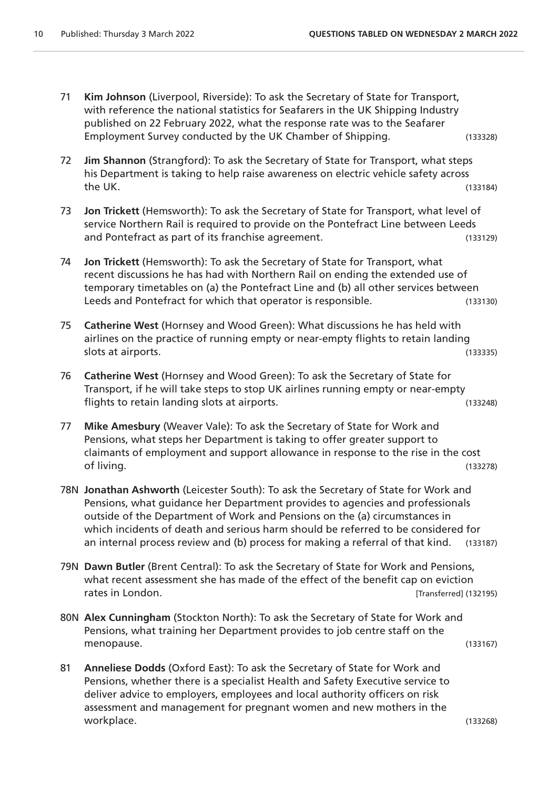- 71 **Kim Johnson** (Liverpool, Riverside): To ask the Secretary of State for Transport, with reference the national statistics for Seafarers in the UK Shipping Industry published on 22 February 2022, what the response rate was to the Seafarer Employment Survey conducted by the UK Chamber of Shipping. (133328)
- 72 **Jim Shannon** (Strangford): To ask the Secretary of State for Transport, what steps his Department is taking to help raise awareness on electric vehicle safety across the UK. (133184)
- 73 **Jon Trickett** (Hemsworth): To ask the Secretary of State for Transport, what level of service Northern Rail is required to provide on the Pontefract Line between Leeds and Pontefract as part of its franchise agreement. (133129)
- 74 **Jon Trickett** (Hemsworth): To ask the Secretary of State for Transport, what recent discussions he has had with Northern Rail on ending the extended use of temporary timetables on (a) the Pontefract Line and (b) all other services between Leeds and Pontefract for which that operator is responsible. (133130)
- 75 **Catherine West** (Hornsey and Wood Green): What discussions he has held with airlines on the practice of running empty or near-empty flights to retain landing slots at airports. (133335)
- 76 **Catherine West** (Hornsey and Wood Green): To ask the Secretary of State for Transport, if he will take steps to stop UK airlines running empty or near-empty flights to retain landing slots at airports. (133248)
- 77 **Mike Amesbury** (Weaver Vale): To ask the Secretary of State for Work and Pensions, what steps her Department is taking to offer greater support to claimants of employment and support allowance in response to the rise in the cost of living. (133278)
- 78N **Jonathan Ashworth** (Leicester South): To ask the Secretary of State for Work and Pensions, what guidance her Department provides to agencies and professionals outside of the Department of Work and Pensions on the (a) circumstances in which incidents of death and serious harm should be referred to be considered for an internal process review and (b) process for making a referral of that kind. (133187)
- 79N **Dawn Butler** (Brent Central): To ask the Secretary of State for Work and Pensions, what recent assessment she has made of the effect of the benefit cap on eviction rates in London. **Example 2018** 19:30 12:31 and 132195) **Transferred** (132195)
- 80N **Alex Cunningham** (Stockton North): To ask the Secretary of State for Work and Pensions, what training her Department provides to job centre staff on the menopause. (133167)
- 81 **Anneliese Dodds** (Oxford East): To ask the Secretary of State for Work and Pensions, whether there is a specialist Health and Safety Executive service to deliver advice to employers, employees and local authority officers on risk assessment and management for pregnant women and new mothers in the workplace. (133268)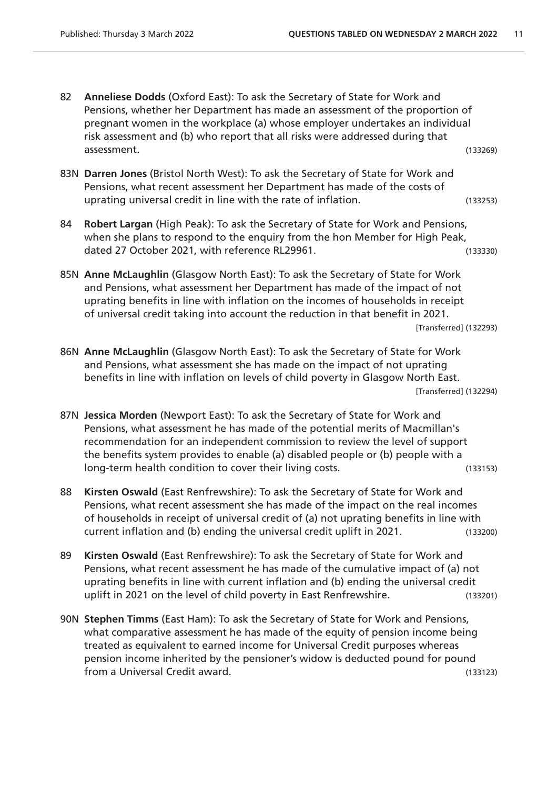- 82 **Anneliese Dodds** (Oxford East): To ask the Secretary of State for Work and Pensions, whether her Department has made an assessment of the proportion of pregnant women in the workplace (a) whose employer undertakes an individual risk assessment and (b) who report that all risks were addressed during that assessment. (133269)
- 83N **Darren Jones** (Bristol North West): To ask the Secretary of State for Work and Pensions, what recent assessment her Department has made of the costs of uprating universal credit in line with the rate of inflation. (133253)
- 84 **Robert Largan** (High Peak): To ask the Secretary of State for Work and Pensions, when she plans to respond to the enquiry from the hon Member for High Peak, dated 27 October 2021, with reference RL29961.
- 85N **Anne McLaughlin** (Glasgow North East): To ask the Secretary of State for Work and Pensions, what assessment her Department has made of the impact of not uprating benefits in line with inflation on the incomes of households in receipt of universal credit taking into account the reduction in that benefit in 2021. [Transferred] (132293)
- 86N **Anne McLaughlin** (Glasgow North East): To ask the Secretary of State for Work and Pensions, what assessment she has made on the impact of not uprating benefits in line with inflation on levels of child poverty in Glasgow North East. [Transferred] (132294)
- 87N **Jessica Morden** (Newport East): To ask the Secretary of State for Work and Pensions, what assessment he has made of the potential merits of Macmillan's recommendation for an independent commission to review the level of support the benefits system provides to enable (a) disabled people or (b) people with a long-term health condition to cover their living costs. (133153)
- 88 **Kirsten Oswald** (East Renfrewshire): To ask the Secretary of State for Work and Pensions, what recent assessment she has made of the impact on the real incomes of households in receipt of universal credit of (a) not uprating benefits in line with current inflation and (b) ending the universal credit uplift in 2021. (133200)
- 89 **Kirsten Oswald** (East Renfrewshire): To ask the Secretary of State for Work and Pensions, what recent assessment he has made of the cumulative impact of (a) not uprating benefits in line with current inflation and (b) ending the universal credit uplift in 2021 on the level of child poverty in East Renfrewshire. (133201)
- 90N **Stephen Timms** (East Ham): To ask the Secretary of State for Work and Pensions, what comparative assessment he has made of the equity of pension income being treated as equivalent to earned income for Universal Credit purposes whereas pension income inherited by the pensioner's widow is deducted pound for pound from a Universal Credit award. (133123)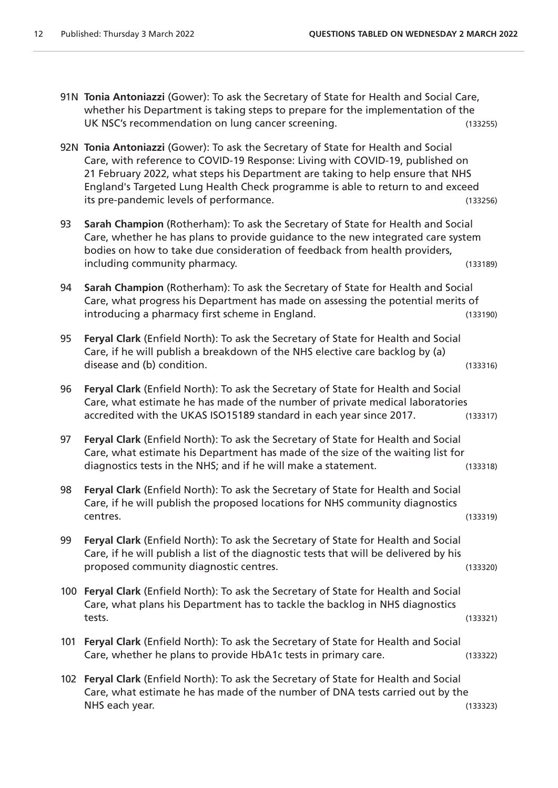- 91N **Tonia Antoniazzi** (Gower): To ask the Secretary of State for Health and Social Care, whether his Department is taking steps to prepare for the implementation of the UK NSC's recommendation on lung cancer screening. (133255)
- 92N **Tonia Antoniazzi** (Gower): To ask the Secretary of State for Health and Social Care, with reference to COVID-19 Response: Living with COVID-19, published on 21 February 2022, what steps his Department are taking to help ensure that NHS England's Targeted Lung Health Check programme is able to return to and exceed its pre-pandemic levels of performance. (133256)
- 93 **Sarah Champion** (Rotherham): To ask the Secretary of State for Health and Social Care, whether he has plans to provide guidance to the new integrated care system bodies on how to take due consideration of feedback from health providers, including community pharmacy. (133189)
- 94 **Sarah Champion** (Rotherham): To ask the Secretary of State for Health and Social Care, what progress his Department has made on assessing the potential merits of introducing a pharmacy first scheme in England. (133190)
- 95 **Feryal Clark** (Enfield North): To ask the Secretary of State for Health and Social Care, if he will publish a breakdown of the NHS elective care backlog by (a) disease and (b) condition. (133316)
- 96 **Feryal Clark** (Enfield North): To ask the Secretary of State for Health and Social Care, what estimate he has made of the number of private medical laboratories accredited with the UKAS ISO15189 standard in each year since 2017. (133317)
- 97 **Feryal Clark** (Enfield North): To ask the Secretary of State for Health and Social Care, what estimate his Department has made of the size of the waiting list for diagnostics tests in the NHS; and if he will make a statement. (133318)
- 98 **Feryal Clark** (Enfield North): To ask the Secretary of State for Health and Social Care, if he will publish the proposed locations for NHS community diagnostics centres. (133319)
- 99 **Feryal Clark** (Enfield North): To ask the Secretary of State for Health and Social Care, if he will publish a list of the diagnostic tests that will be delivered by his proposed community diagnostic centres. The control of the control of the control of the control of the control o
- 100 **Feryal Clark** (Enfield North): To ask the Secretary of State for Health and Social Care, what plans his Department has to tackle the backlog in NHS diagnostics tests. (133321)
- 101 **Feryal Clark** (Enfield North): To ask the Secretary of State for Health and Social Care, whether he plans to provide HbA1c tests in primary care. (133322)
- 102 **Feryal Clark** (Enfield North): To ask the Secretary of State for Health and Social Care, what estimate he has made of the number of DNA tests carried out by the NHS each year. (133323)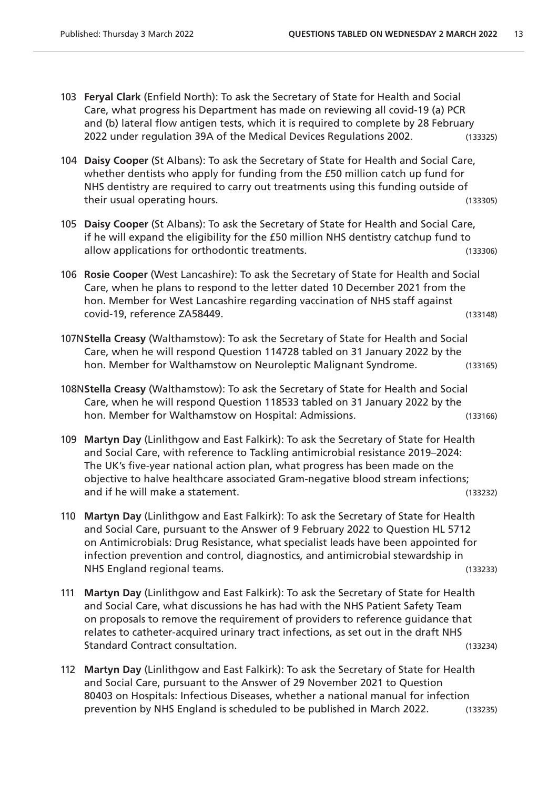- 103 **Feryal Clark** (Enfield North): To ask the Secretary of State for Health and Social Care, what progress his Department has made on reviewing all covid-19 (a) PCR and (b) lateral flow antigen tests, which it is required to complete by 28 February 2022 under regulation 39A of the Medical Devices Regulations 2002. (133325)
- 104 **Daisy Cooper** (St Albans): To ask the Secretary of State for Health and Social Care, whether dentists who apply for funding from the £50 million catch up fund for NHS dentistry are required to carry out treatments using this funding outside of their usual operating hours. (133305)
- 105 **Daisy Cooper** (St Albans): To ask the Secretary of State for Health and Social Care, if he will expand the eligibility for the £50 million NHS dentistry catchup fund to allow applications for orthodontic treatments. (133306)
- 106 **Rosie Cooper** (West Lancashire): To ask the Secretary of State for Health and Social Care, when he plans to respond to the letter dated 10 December 2021 from the hon. Member for West Lancashire regarding vaccination of NHS staff against covid-19, reference ZA58449. (133148)
- 107N**Stella Creasy** (Walthamstow): To ask the Secretary of State for Health and Social Care, when he will respond Question 114728 tabled on 31 January 2022 by the hon. Member for Walthamstow on Neuroleptic Malignant Syndrome. (133165)
- 108N**Stella Creasy** (Walthamstow): To ask the Secretary of State for Health and Social Care, when he will respond Question 118533 tabled on 31 January 2022 by the hon. Member for Walthamstow on Hospital: Admissions. (133166)
- 109 **Martyn Day** (Linlithgow and East Falkirk): To ask the Secretary of State for Health and Social Care, with reference to Tackling antimicrobial resistance 2019–2024: The UK's five-year national action plan, what progress has been made on the objective to halve healthcare associated Gram-negative blood stream infections; and if he will make a statement. (133232)
- 110 **Martyn Day** (Linlithgow and East Falkirk): To ask the Secretary of State for Health and Social Care, pursuant to the Answer of 9 February 2022 to Question HL 5712 on Antimicrobials: Drug Resistance, what specialist leads have been appointed for infection prevention and control, diagnostics, and antimicrobial stewardship in NHS England regional teams. (133233)
- 111 **Martyn Day** (Linlithgow and East Falkirk): To ask the Secretary of State for Health and Social Care, what discussions he has had with the NHS Patient Safety Team on proposals to remove the requirement of providers to reference guidance that relates to catheter-acquired urinary tract infections, as set out in the draft NHS Standard Contract consultation. (133234)
- 112 **Martyn Day** (Linlithgow and East Falkirk): To ask the Secretary of State for Health and Social Care, pursuant to the Answer of 29 November 2021 to Question 80403 on Hospitals: Infectious Diseases, whether a national manual for infection prevention by NHS England is scheduled to be published in March 2022. (133235)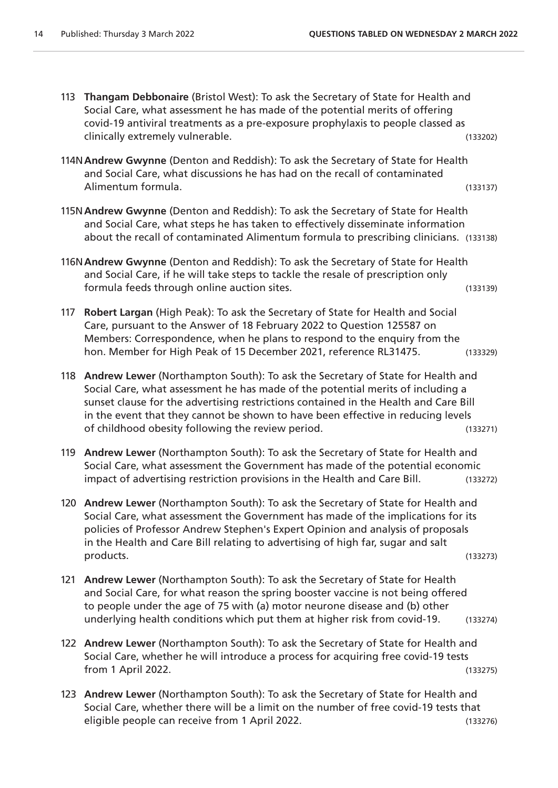113 **Thangam Debbonaire** (Bristol West): To ask the Secretary of State for Health and Social Care, what assessment he has made of the potential merits of offering covid-19 antiviral treatments as a pre-exposure prophylaxis to people classed as clinically extremely vulnerable. (133202) 114N**Andrew Gwynne** (Denton and Reddish): To ask the Secretary of State for Health and Social Care, what discussions he has had on the recall of contaminated Alimentum formula. (133137) 115N**Andrew Gwynne** (Denton and Reddish): To ask the Secretary of State for Health and Social Care, what steps he has taken to effectively disseminate information about the recall of contaminated Alimentum formula to prescribing clinicians. (133138) 116N**Andrew Gwynne** (Denton and Reddish): To ask the Secretary of State for Health and Social Care, if he will take steps to tackle the resale of prescription only formula feeds through online auction sites. (133139) 117 **Robert Largan** (High Peak): To ask the Secretary of State for Health and Social Care, pursuant to the Answer of 18 February 2022 to Question 125587 on Members: Correspondence, when he plans to respond to the enquiry from the hon. Member for High Peak of 15 December 2021, reference RL31475. (133329) 118 **Andrew Lewer** (Northampton South): To ask the Secretary of State for Health and Social Care, what assessment he has made of the potential merits of including a sunset clause for the advertising restrictions contained in the Health and Care Bill in the event that they cannot be shown to have been effective in reducing levels of childhood obesity following the review period. (133271) 119 **Andrew Lewer** (Northampton South): To ask the Secretary of State for Health and Social Care, what assessment the Government has made of the potential economic impact of advertising restriction provisions in the Health and Care Bill. (133272) 120 **Andrew Lewer** (Northampton South): To ask the Secretary of State for Health and Social Care, what assessment the Government has made of the implications for its policies of Professor Andrew Stephen's Expert Opinion and analysis of proposals in the Health and Care Bill relating to advertising of high far, sugar and salt products. (133273) 121 **Andrew Lewer** (Northampton South): To ask the Secretary of State for Health and Social Care, for what reason the spring booster vaccine is not being offered to people under the age of 75 with (a) motor neurone disease and (b) other underlying health conditions which put them at higher risk from covid-19. (133274) 122 **Andrew Lewer** (Northampton South): To ask the Secretary of State for Health and Social Care, whether he will introduce a process for acquiring free covid-19 tests from 1 April 2022. (133275) 123 **Andrew Lewer** (Northampton South): To ask the Secretary of State for Health and Social Care, whether there will be a limit on the number of free covid-19 tests that eligible people can receive from 1 April 2022.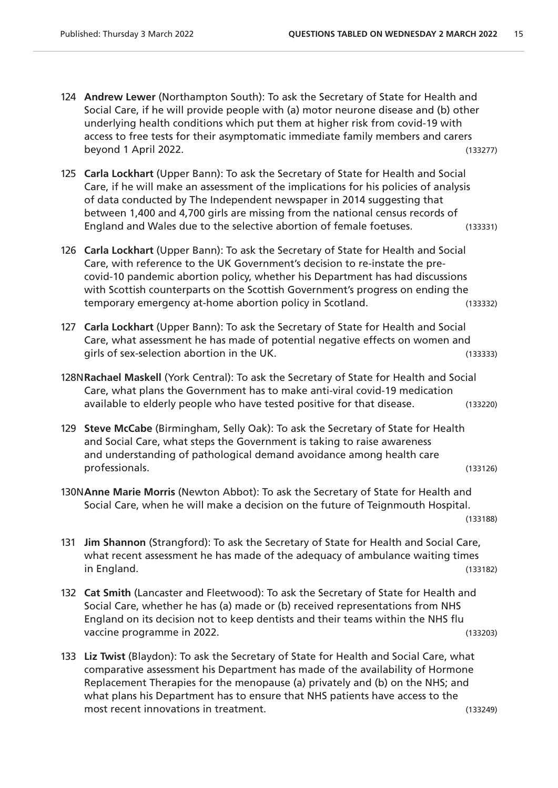- 124 **Andrew Lewer** (Northampton South): To ask the Secretary of State for Health and Social Care, if he will provide people with (a) motor neurone disease and (b) other underlying health conditions which put them at higher risk from covid-19 with access to free tests for their asymptomatic immediate family members and carers beyond 1 April 2022. (133277)
- 125 **Carla Lockhart** (Upper Bann): To ask the Secretary of State for Health and Social Care, if he will make an assessment of the implications for his policies of analysis of data conducted by The Independent newspaper in 2014 suggesting that between 1,400 and 4,700 girls are missing from the national census records of England and Wales due to the selective abortion of female foetuses. (133331)
- 126 **Carla Lockhart** (Upper Bann): To ask the Secretary of State for Health and Social Care, with reference to the UK Government's decision to re-instate the precovid-10 pandemic abortion policy, whether his Department has had discussions with Scottish counterparts on the Scottish Government's progress on ending the temporary emergency at-home abortion policy in Scotland. (133332)
- 127 **Carla Lockhart** (Upper Bann): To ask the Secretary of State for Health and Social Care, what assessment he has made of potential negative effects on women and girls of sex-selection abortion in the UK. (133333)
- 128N**Rachael Maskell** (York Central): To ask the Secretary of State for Health and Social Care, what plans the Government has to make anti-viral covid-19 medication available to elderly people who have tested positive for that disease. (133220)
- 129 **Steve McCabe** (Birmingham, Selly Oak): To ask the Secretary of State for Health and Social Care, what steps the Government is taking to raise awareness and understanding of pathological demand avoidance among health care professionals. (133126)
- 130N**Anne Marie Morris** (Newton Abbot): To ask the Secretary of State for Health and Social Care, when he will make a decision on the future of Teignmouth Hospital. (133188)
- 131 **Jim Shannon** (Strangford): To ask the Secretary of State for Health and Social Care, what recent assessment he has made of the adequacy of ambulance waiting times in England. (133182)
- 132 **Cat Smith** (Lancaster and Fleetwood): To ask the Secretary of State for Health and Social Care, whether he has (a) made or (b) received representations from NHS England on its decision not to keep dentists and their teams within the NHS flu vaccine programme in 2022.
- 133 **Liz Twist** (Blaydon): To ask the Secretary of State for Health and Social Care, what comparative assessment his Department has made of the availability of Hormone Replacement Therapies for the menopause (a) privately and (b) on the NHS; and what plans his Department has to ensure that NHS patients have access to the most recent innovations in treatment. (133249)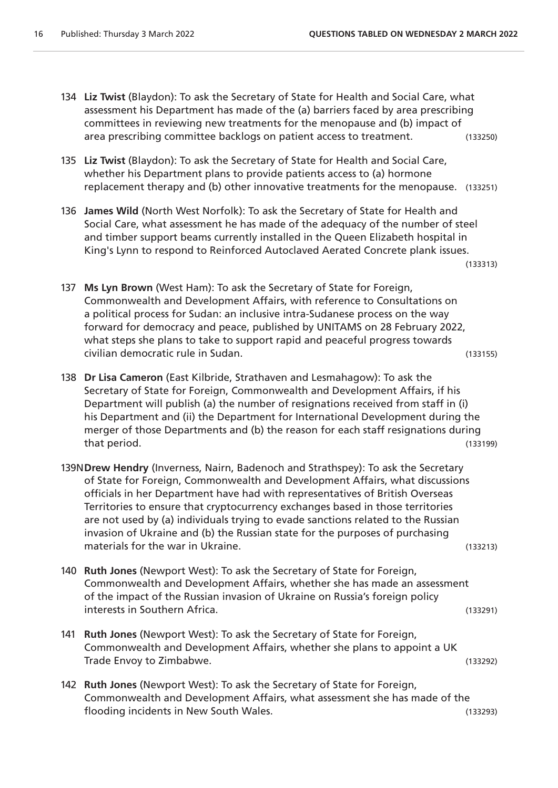- 134 **Liz Twist** (Blaydon): To ask the Secretary of State for Health and Social Care, what assessment his Department has made of the (a) barriers faced by area prescribing committees in reviewing new treatments for the menopause and (b) impact of area prescribing committee backlogs on patient access to treatment. (133250)
- 135 **Liz Twist** (Blaydon): To ask the Secretary of State for Health and Social Care, whether his Department plans to provide patients access to (a) hormone replacement therapy and (b) other innovative treatments for the menopause. (133251)
- 136 **James Wild** (North West Norfolk): To ask the Secretary of State for Health and Social Care, what assessment he has made of the adequacy of the number of steel and timber support beams currently installed in the Queen Elizabeth hospital in King's Lynn to respond to Reinforced Autoclaved Aerated Concrete plank issues.

(133313)

- 137 **Ms Lyn Brown** (West Ham): To ask the Secretary of State for Foreign, Commonwealth and Development Affairs, with reference to Consultations on a political process for Sudan: an inclusive intra-Sudanese process on the way forward for democracy and peace, published by UNITAMS on 28 February 2022, what steps she plans to take to support rapid and peaceful progress towards civilian democratic rule in Sudan. (133155)
- 138 **Dr Lisa Cameron** (East Kilbride, Strathaven and Lesmahagow): To ask the Secretary of State for Foreign, Commonwealth and Development Affairs, if his Department will publish (a) the number of resignations received from staff in (i) his Department and (ii) the Department for International Development during the merger of those Departments and (b) the reason for each staff resignations during that period. (133199)
- 139N**Drew Hendry** (Inverness, Nairn, Badenoch and Strathspey): To ask the Secretary of State for Foreign, Commonwealth and Development Affairs, what discussions officials in her Department have had with representatives of British Overseas Territories to ensure that cryptocurrency exchanges based in those territories are not used by (a) individuals trying to evade sanctions related to the Russian invasion of Ukraine and (b) the Russian state for the purposes of purchasing materials for the war in Ukraine. (133213)
- 140 **Ruth Jones** (Newport West): To ask the Secretary of State for Foreign, Commonwealth and Development Affairs, whether she has made an assessment of the impact of the Russian invasion of Ukraine on Russia's foreign policy interests in Southern Africa. (133291)
- 141 **Ruth Jones** (Newport West): To ask the Secretary of State for Foreign, Commonwealth and Development Affairs, whether she plans to appoint a UK Trade Envoy to Zimbabwe. (133292)
- 142 **Ruth Jones** (Newport West): To ask the Secretary of State for Foreign, Commonwealth and Development Affairs, what assessment she has made of the flooding incidents in New South Wales. (133293)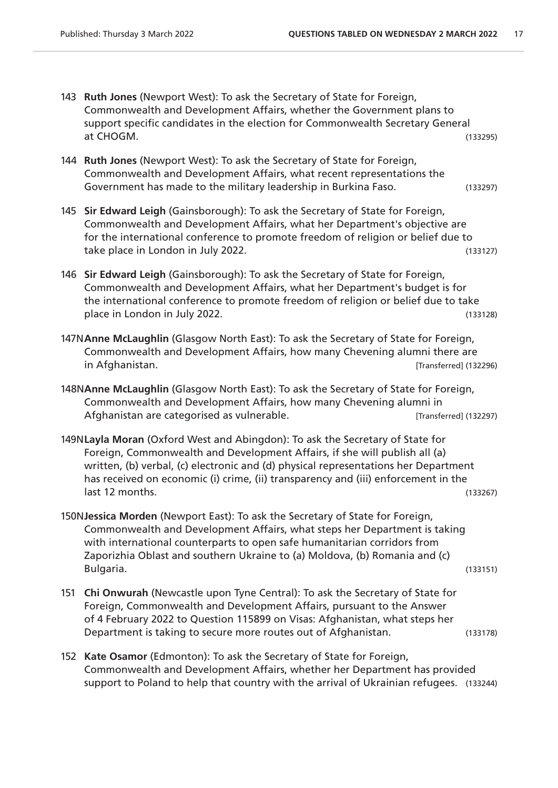- 143 **Ruth Jones** (Newport West): To ask the Secretary of State for Foreign, Commonwealth and Development Affairs, whether the Government plans to support specific candidates in the election for Commonwealth Secretary General at CHOGM. (133295)
- 144 **Ruth Jones** (Newport West): To ask the Secretary of State for Foreign, Commonwealth and Development Affairs, what recent representations the Government has made to the military leadership in Burkina Faso. (133297)
- 145 **Sir Edward Leigh** (Gainsborough): To ask the Secretary of State for Foreign, Commonwealth and Development Affairs, what her Department's objective are for the international conference to promote freedom of religion or belief due to take place in London in July 2022. (133127)
- 146 **Sir Edward Leigh** (Gainsborough): To ask the Secretary of State for Foreign, Commonwealth and Development Affairs, what her Department's budget is for the international conference to promote freedom of religion or belief due to take place in London in July 2022. (133128)
- 147N**Anne McLaughlin** (Glasgow North East): To ask the Secretary of State for Foreign, Commonwealth and Development Affairs, how many Chevening alumni there are in Afghanistan. [Transferred] (132296)
- 148N**Anne McLaughlin** (Glasgow North East): To ask the Secretary of State for Foreign, Commonwealth and Development Affairs, how many Chevening alumni in Afghanistan are categorised as vulnerable. The state of the state (132297)
- 149N**Layla Moran** (Oxford West and Abingdon): To ask the Secretary of State for Foreign, Commonwealth and Development Affairs, if she will publish all (a) written, (b) verbal, (c) electronic and (d) physical representations her Department has received on economic (i) crime, (ii) transparency and (iii) enforcement in the last 12 months. (133267)
- 150N**Jessica Morden** (Newport East): To ask the Secretary of State for Foreign, Commonwealth and Development Affairs, what steps her Department is taking with international counterparts to open safe humanitarian corridors from Zaporizhia Oblast and southern Ukraine to (a) Moldova, (b) Romania and (c) Bulgaria. (133151)

- 151 **Chi Onwurah** (Newcastle upon Tyne Central): To ask the Secretary of State for Foreign, Commonwealth and Development Affairs, pursuant to the Answer of 4 February 2022 to Question 115899 on Visas: Afghanistan, what steps her Department is taking to secure more routes out of Afghanistan. (133178)
- 152 **Kate Osamor** (Edmonton): To ask the Secretary of State for Foreign, Commonwealth and Development Affairs, whether her Department has provided support to Poland to help that country with the arrival of Ukrainian refugees. (133244)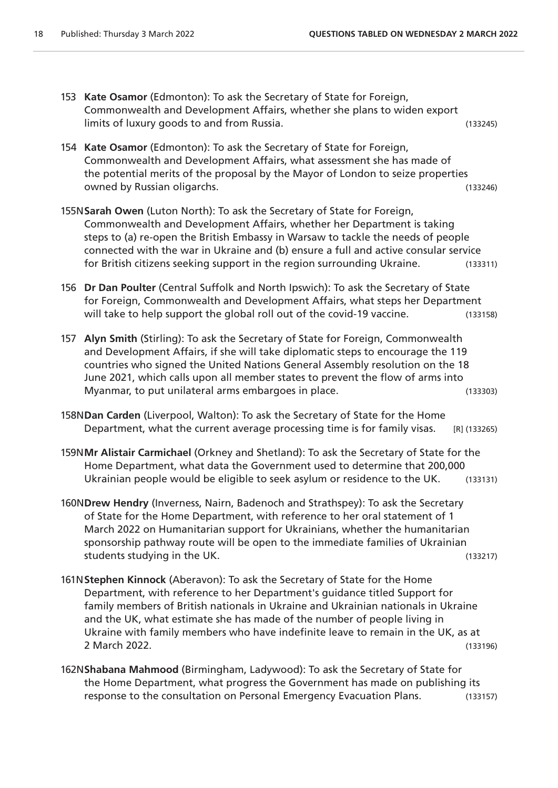- 153 **Kate Osamor** (Edmonton): To ask the Secretary of State for Foreign, Commonwealth and Development Affairs, whether she plans to widen export limits of luxury goods to and from Russia. (133245)
- 154 **Kate Osamor** (Edmonton): To ask the Secretary of State for Foreign, Commonwealth and Development Affairs, what assessment she has made of the potential merits of the proposal by the Mayor of London to seize properties owned by Russian oligarchs. (133246)
- 155N**Sarah Owen** (Luton North): To ask the Secretary of State for Foreign, Commonwealth and Development Affairs, whether her Department is taking steps to (a) re-open the British Embassy in Warsaw to tackle the needs of people connected with the war in Ukraine and (b) ensure a full and active consular service for British citizens seeking support in the region surrounding Ukraine. (133311)
- 156 **Dr Dan Poulter** (Central Suffolk and North Ipswich): To ask the Secretary of State for Foreign, Commonwealth and Development Affairs, what steps her Department will take to help support the global roll out of the covid-19 vaccine. (133158)
- 157 **Alyn Smith** (Stirling): To ask the Secretary of State for Foreign, Commonwealth and Development Affairs, if she will take diplomatic steps to encourage the 119 countries who signed the United Nations General Assembly resolution on the 18 June 2021, which calls upon all member states to prevent the flow of arms into Myanmar, to put unilateral arms embargoes in place. (133303)
- 158N**Dan Carden** (Liverpool, Walton): To ask the Secretary of State for the Home Department, what the current average processing time is for family visas. [R] (133265)
- 159N**Mr Alistair Carmichael** (Orkney and Shetland): To ask the Secretary of State for the Home Department, what data the Government used to determine that 200,000 Ukrainian people would be eligible to seek asylum or residence to the UK. (133131)
- 160N**Drew Hendry** (Inverness, Nairn, Badenoch and Strathspey): To ask the Secretary of State for the Home Department, with reference to her oral statement of 1 March 2022 on Humanitarian support for Ukrainians, whether the humanitarian sponsorship pathway route will be open to the immediate families of Ukrainian students studying in the UK. (133217)
- 161N**Stephen Kinnock** (Aberavon): To ask the Secretary of State for the Home Department, with reference to her Department's guidance titled Support for family members of British nationals in Ukraine and Ukrainian nationals in Ukraine and the UK, what estimate she has made of the number of people living in Ukraine with family members who have indefinite leave to remain in the UK, as at 2 March 2022. (133196)
- 162N**Shabana Mahmood** (Birmingham, Ladywood): To ask the Secretary of State for the Home Department, what progress the Government has made on publishing its response to the consultation on Personal Emergency Evacuation Plans. (133157)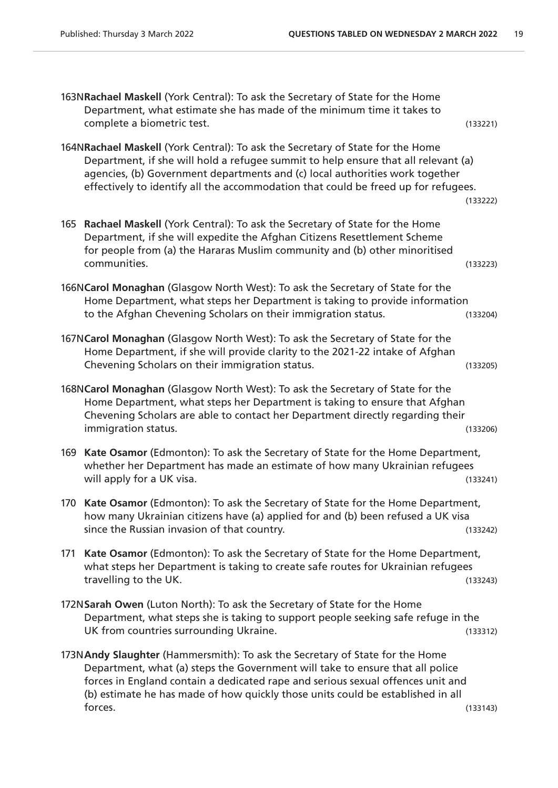|     | 163NRachael Maskell (York Central): To ask the Secretary of State for the Home<br>Department, what estimate she has made of the minimum time it takes to<br>complete a biometric test.                                                                                                                                                          | (133221) |
|-----|-------------------------------------------------------------------------------------------------------------------------------------------------------------------------------------------------------------------------------------------------------------------------------------------------------------------------------------------------|----------|
|     | 164NRachael Maskell (York Central): To ask the Secretary of State for the Home<br>Department, if she will hold a refugee summit to help ensure that all relevant (a)<br>agencies, (b) Government departments and (c) local authorities work together<br>effectively to identify all the accommodation that could be freed up for refugees.      | (133222) |
| 165 | Rachael Maskell (York Central): To ask the Secretary of State for the Home<br>Department, if she will expedite the Afghan Citizens Resettlement Scheme<br>for people from (a) the Hararas Muslim community and (b) other minoritised<br>communities.                                                                                            | (133223) |
|     | 166NCarol Monaghan (Glasgow North West): To ask the Secretary of State for the<br>Home Department, what steps her Department is taking to provide information<br>to the Afghan Chevening Scholars on their immigration status.                                                                                                                  | (133204) |
|     | 167NCarol Monaghan (Glasgow North West): To ask the Secretary of State for the<br>Home Department, if she will provide clarity to the 2021-22 intake of Afghan<br>Chevening Scholars on their immigration status.                                                                                                                               | (133205) |
|     | 168NCarol Monaghan (Glasgow North West): To ask the Secretary of State for the<br>Home Department, what steps her Department is taking to ensure that Afghan<br>Chevening Scholars are able to contact her Department directly regarding their<br>immigration status.                                                                           | (133206) |
|     | 169 Kate Osamor (Edmonton): To ask the Secretary of State for the Home Department,<br>whether her Department has made an estimate of how many Ukrainian refugees<br>will apply for a UK visa.                                                                                                                                                   | (133241) |
|     | 170 Kate Osamor (Edmonton): To ask the Secretary of State for the Home Department,<br>how many Ukrainian citizens have (a) applied for and (b) been refused a UK visa<br>since the Russian invasion of that country.                                                                                                                            | (133242) |
| 171 | Kate Osamor (Edmonton): To ask the Secretary of State for the Home Department,<br>what steps her Department is taking to create safe routes for Ukrainian refugees<br>travelling to the UK.                                                                                                                                                     | (133243) |
|     | 172N Sarah Owen (Luton North): To ask the Secretary of State for the Home<br>Department, what steps she is taking to support people seeking safe refuge in the<br>UK from countries surrounding Ukraine.                                                                                                                                        | (133312) |
|     | 173N Andy Slaughter (Hammersmith): To ask the Secretary of State for the Home<br>Department, what (a) steps the Government will take to ensure that all police<br>forces in England contain a dedicated rape and serious sexual offences unit and<br>(b) estimate he has made of how quickly those units could be established in all<br>forces. | (133143) |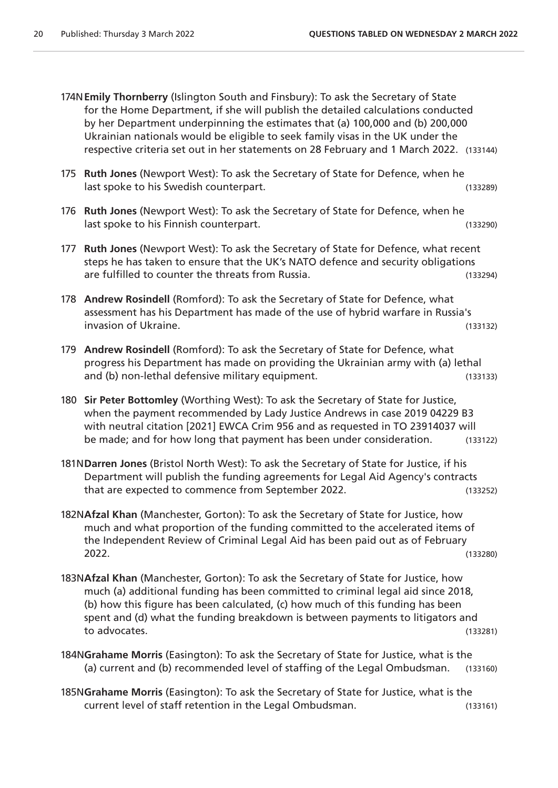- 174N**Emily Thornberry** (Islington South and Finsbury): To ask the Secretary of State for the Home Department, if she will publish the detailed calculations conducted by her Department underpinning the estimates that (a) 100,000 and (b) 200,000 Ukrainian nationals would be eligible to seek family visas in the UK under the respective criteria set out in her statements on 28 February and 1 March 2022. (133144)
- 175 **Ruth Jones** (Newport West): To ask the Secretary of State for Defence, when he last spoke to his Swedish counterpart. (133289)
- 176 **Ruth Jones** (Newport West): To ask the Secretary of State for Defence, when he last spoke to his Finnish counterpart. (133290)
- 177 **Ruth Jones** (Newport West): To ask the Secretary of State for Defence, what recent steps he has taken to ensure that the UK's NATO defence and security obligations are fulfilled to counter the threats from Russia. (133294)
- 178 **Andrew Rosindell** (Romford): To ask the Secretary of State for Defence, what assessment has his Department has made of the use of hybrid warfare in Russia's invasion of Ukraine. (133132)
- 179 **Andrew Rosindell** (Romford): To ask the Secretary of State for Defence, what progress his Department has made on providing the Ukrainian army with (a) lethal and (b) non-lethal defensive military equipment. (133133)
- 180 **Sir Peter Bottomley** (Worthing West): To ask the Secretary of State for Justice, when the payment recommended by Lady Justice Andrews in case 2019 04229 B3 with neutral citation [2021] EWCA Crim 956 and as requested in TO 23914037 will be made; and for how long that payment has been under consideration. (133122)
- 181N**Darren Jones** (Bristol North West): To ask the Secretary of State for Justice, if his Department will publish the funding agreements for Legal Aid Agency's contracts that are expected to commence from September 2022. (133252)
- 182N**Afzal Khan** (Manchester, Gorton): To ask the Secretary of State for Justice, how much and what proportion of the funding committed to the accelerated items of the Independent Review of Criminal Legal Aid has been paid out as of February 2022. (133280)
- 183N**Afzal Khan** (Manchester, Gorton): To ask the Secretary of State for Justice, how much (a) additional funding has been committed to criminal legal aid since 2018, (b) how this figure has been calculated, (c) how much of this funding has been spent and (d) what the funding breakdown is between payments to litigators and to advocates. (133281)
- 184N**Grahame Morris** (Easington): To ask the Secretary of State for Justice, what is the (a) current and (b) recommended level of staffing of the Legal Ombudsman. (133160)
- 185N**Grahame Morris** (Easington): To ask the Secretary of State for Justice, what is the current level of staff retention in the Legal Ombudsman. (133161)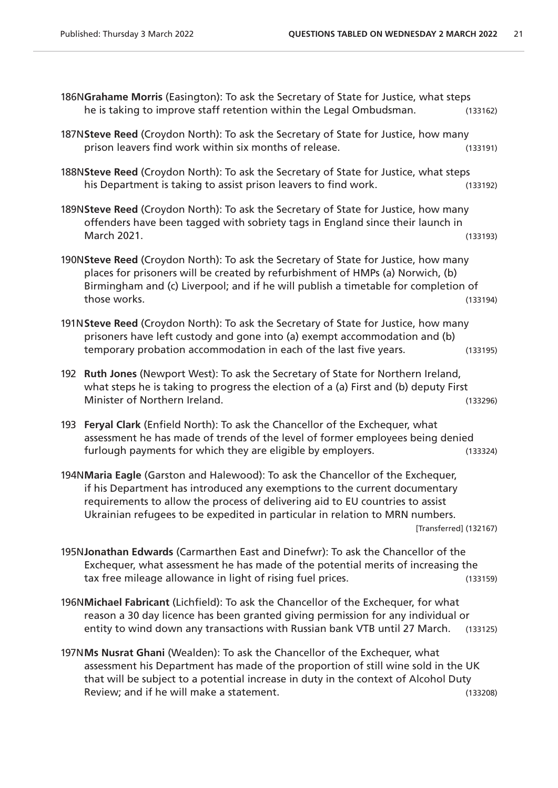|     | 186NGrahame Morris (Easington): To ask the Secretary of State for Justice, what steps<br>he is taking to improve staff retention within the Legal Ombudsman.                                                                                                                                                                                             | (133162) |
|-----|----------------------------------------------------------------------------------------------------------------------------------------------------------------------------------------------------------------------------------------------------------------------------------------------------------------------------------------------------------|----------|
|     | 187NSteve Reed (Croydon North): To ask the Secretary of State for Justice, how many<br>prison leavers find work within six months of release.                                                                                                                                                                                                            | (133191) |
|     | 188NSteve Reed (Croydon North): To ask the Secretary of State for Justice, what steps<br>his Department is taking to assist prison leavers to find work.                                                                                                                                                                                                 | (133192) |
|     | 189NSteve Reed (Croydon North): To ask the Secretary of State for Justice, how many<br>offenders have been tagged with sobriety tags in England since their launch in<br>March 2021.                                                                                                                                                                     | (133193) |
|     | 190NSteve Reed (Croydon North): To ask the Secretary of State for Justice, how many<br>places for prisoners will be created by refurbishment of HMPs (a) Norwich, (b)<br>Birmingham and (c) Liverpool; and if he will publish a timetable for completion of<br>those works.                                                                              | (133194) |
|     | 191N Steve Reed (Croydon North): To ask the Secretary of State for Justice, how many<br>prisoners have left custody and gone into (a) exempt accommodation and (b)<br>temporary probation accommodation in each of the last five years.                                                                                                                  | (133195) |
|     | 192 Ruth Jones (Newport West): To ask the Secretary of State for Northern Ireland,<br>what steps he is taking to progress the election of a (a) First and (b) deputy First<br>Minister of Northern Ireland.                                                                                                                                              | (133296) |
| 193 | Feryal Clark (Enfield North): To ask the Chancellor of the Exchequer, what<br>assessment he has made of trends of the level of former employees being denied<br>furlough payments for which they are eligible by employers.                                                                                                                              | (133324) |
|     | 194NMaria Eagle (Garston and Halewood): To ask the Chancellor of the Exchequer,<br>if his Department has introduced any exemptions to the current documentary<br>requirements to allow the process of delivering aid to EU countries to assist<br>Ukrainian refugees to be expedited in particular in relation to MRN numbers.<br>[Transferred] (132167) |          |
|     | 195NJonathan Edwards (Carmarthen East and Dinefwr): To ask the Chancellor of the<br>Exchequer, what assessment he has made of the potential merits of increasing the<br>tax free mileage allowance in light of rising fuel prices.                                                                                                                       | (133159) |
|     | 196NMichael Fabricant (Lichfield): To ask the Chancellor of the Exchequer, for what<br>reason a 30 day licence has been granted giving permission for any individual or<br>entity to wind down any transactions with Russian bank VTB until 27 March.                                                                                                    | (133125) |
|     | 197NMs Nusrat Ghani (Wealden): To ask the Chancellor of the Exchequer, what<br>assessment his Department has made of the proportion of still wine sold in the UK<br>that will be subject to a potential increase in duty in the context of Alcohol Duty                                                                                                  |          |

Review; and if he will make a statement. (133208)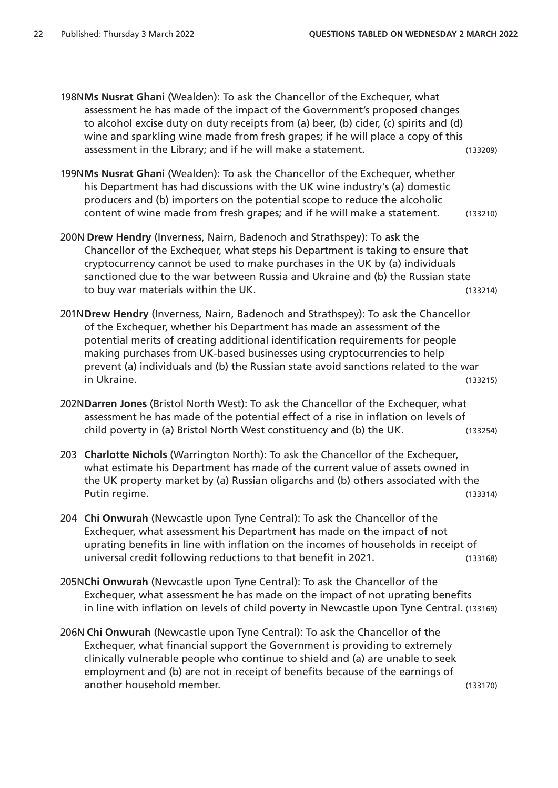198N**Ms Nusrat Ghani** (Wealden): To ask the Chancellor of the Exchequer, what assessment he has made of the impact of the Government's proposed changes to alcohol excise duty on duty receipts from (a) beer, (b) cider, (c) spirits and (d) wine and sparkling wine made from fresh grapes; if he will place a copy of this assessment in the Library; and if he will make a statement. (133209)

- 199N**Ms Nusrat Ghani** (Wealden): To ask the Chancellor of the Exchequer, whether his Department has had discussions with the UK wine industry's (a) domestic producers and (b) importers on the potential scope to reduce the alcoholic content of wine made from fresh grapes; and if he will make a statement. (133210)
- 200N **Drew Hendry** (Inverness, Nairn, Badenoch and Strathspey): To ask the Chancellor of the Exchequer, what steps his Department is taking to ensure that cryptocurrency cannot be used to make purchases in the UK by (a) individuals sanctioned due to the war between Russia and Ukraine and (b) the Russian state to buy war materials within the UK. (133214)
- 201N**Drew Hendry** (Inverness, Nairn, Badenoch and Strathspey): To ask the Chancellor of the Exchequer, whether his Department has made an assessment of the potential merits of creating additional identification requirements for people making purchases from UK-based businesses using cryptocurrencies to help prevent (a) individuals and (b) the Russian state avoid sanctions related to the war in Ukraine. (133215)
- 202N**Darren Jones** (Bristol North West): To ask the Chancellor of the Exchequer, what assessment he has made of the potential effect of a rise in inflation on levels of child poverty in (a) Bristol North West constituency and (b) the UK. (133254)
- 203 **Charlotte Nichols** (Warrington North): To ask the Chancellor of the Exchequer, what estimate his Department has made of the current value of assets owned in the UK property market by (a) Russian oligarchs and (b) others associated with the Putin regime. (133314)
- 204 **Chi Onwurah** (Newcastle upon Tyne Central): To ask the Chancellor of the Exchequer, what assessment his Department has made on the impact of not uprating benefits in line with inflation on the incomes of households in receipt of universal credit following reductions to that benefit in 2021. (133168)
- 205N**Chi Onwurah** (Newcastle upon Tyne Central): To ask the Chancellor of the Exchequer, what assessment he has made on the impact of not uprating benefits in line with inflation on levels of child poverty in Newcastle upon Tyne Central. (133169)
- 206N **Chi Onwurah** (Newcastle upon Tyne Central): To ask the Chancellor of the Exchequer, what financial support the Government is providing to extremely clinically vulnerable people who continue to shield and (a) are unable to seek employment and (b) are not in receipt of benefits because of the earnings of another household member. (133170)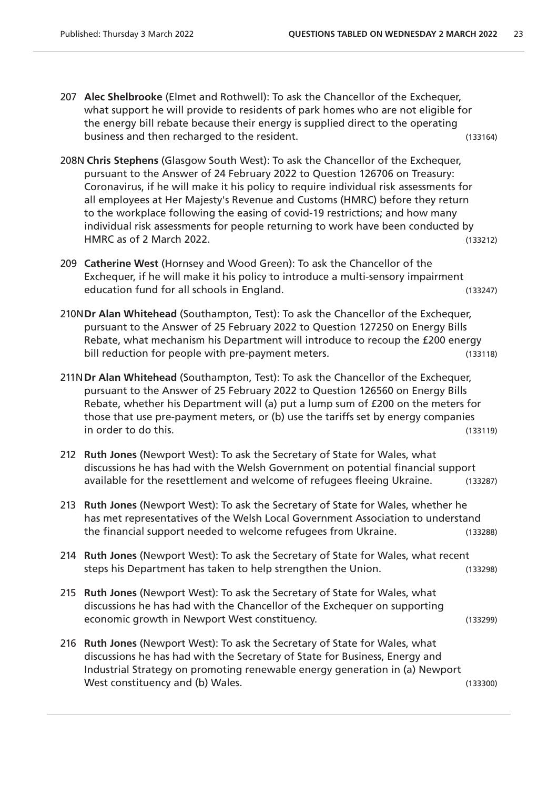- 207 **Alec Shelbrooke** (Elmet and Rothwell): To ask the Chancellor of the Exchequer, what support he will provide to residents of park homes who are not eligible for the energy bill rebate because their energy is supplied direct to the operating business and then recharged to the resident. (133164)
- 208N **Chris Stephens** (Glasgow South West): To ask the Chancellor of the Exchequer, pursuant to the Answer of 24 February 2022 to Question 126706 on Treasury: Coronavirus, if he will make it his policy to require individual risk assessments for all employees at Her Majesty's Revenue and Customs (HMRC) before they return to the workplace following the easing of covid-19 restrictions; and how many individual risk assessments for people returning to work have been conducted by HMRC as of 2 March 2022. (133212)
- 209 **Catherine West** (Hornsey and Wood Green): To ask the Chancellor of the Exchequer, if he will make it his policy to introduce a multi-sensory impairment education fund for all schools in England. (133247)
- 210N**Dr Alan Whitehead** (Southampton, Test): To ask the Chancellor of the Exchequer, pursuant to the Answer of 25 February 2022 to Question 127250 on Energy Bills Rebate, what mechanism his Department will introduce to recoup the £200 energy bill reduction for people with pre-payment meters. (133118)
- 211N**Dr Alan Whitehead** (Southampton, Test): To ask the Chancellor of the Exchequer, pursuant to the Answer of 25 February 2022 to Question 126560 on Energy Bills Rebate, whether his Department will (a) put a lump sum of £200 on the meters for those that use pre-payment meters, or (b) use the tariffs set by energy companies in order to do this. (133119)
- 212 **Ruth Jones** (Newport West): To ask the Secretary of State for Wales, what discussions he has had with the Welsh Government on potential financial support available for the resettlement and welcome of refugees fleeing Ukraine. (133287)
- 213 **Ruth Jones** (Newport West): To ask the Secretary of State for Wales, whether he has met representatives of the Welsh Local Government Association to understand the financial support needed to welcome refugees from Ukraine. (133288)
- 214 **Ruth Jones** (Newport West): To ask the Secretary of State for Wales, what recent steps his Department has taken to help strengthen the Union. (133298)
- 215 **Ruth Jones** (Newport West): To ask the Secretary of State for Wales, what discussions he has had with the Chancellor of the Exchequer on supporting economic growth in Newport West constituency. (133299)
- 216 **Ruth Jones** (Newport West): To ask the Secretary of State for Wales, what discussions he has had with the Secretary of State for Business, Energy and Industrial Strategy on promoting renewable energy generation in (a) Newport West constituency and (b) Wales. (133300)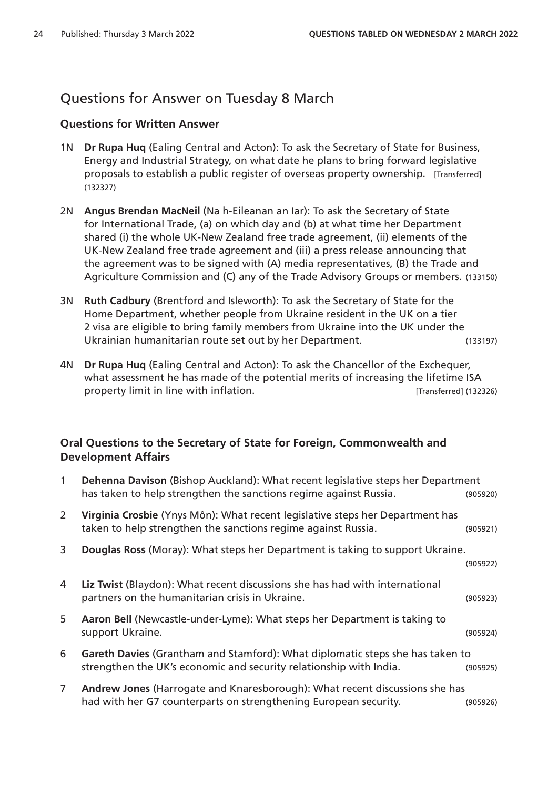# Questions for Answer on Tuesday 8 March

#### **Questions for Written Answer**

- 1N **Dr Rupa Huq** (Ealing Central and Acton): To ask the Secretary of State for Business, Energy and Industrial Strategy, on what date he plans to bring forward legislative proposals to establish a public register of overseas property ownership. [Transferred] (132327)
- 2N **Angus Brendan MacNeil** (Na h-Eileanan an Iar): To ask the Secretary of State for International Trade, (a) on which day and (b) at what time her Department shared (i) the whole UK-New Zealand free trade agreement, (ii) elements of the UK-New Zealand free trade agreement and (iii) a press release announcing that the agreement was to be signed with (A) media representatives, (B) the Trade and Agriculture Commission and (C) any of the Trade Advisory Groups or members. (133150)
- 3N **Ruth Cadbury** (Brentford and Isleworth): To ask the Secretary of State for the Home Department, whether people from Ukraine resident in the UK on a tier 2 visa are eligible to bring family members from Ukraine into the UK under the Ukrainian humanitarian route set out by her Department. (133197)
- 4N **Dr Rupa Huq** (Ealing Central and Acton): To ask the Chancellor of the Exchequer, what assessment he has made of the potential merits of increasing the lifetime ISA property limit in line with inflation. [Transferred] (132326)

#### **Oral Questions to the Secretary of State for Foreign, Commonwealth and Development Affairs**

| $\mathbf{1}$   | Dehenna Davison (Bishop Auckland): What recent legislative steps her Department<br>has taken to help strengthen the sanctions regime against Russia. | (905920) |
|----------------|------------------------------------------------------------------------------------------------------------------------------------------------------|----------|
| $\mathbf{2}$   | Virginia Crosbie (Ynys Môn): What recent legislative steps her Department has<br>taken to help strengthen the sanctions regime against Russia.       | (905921) |
| 3              | Douglas Ross (Moray): What steps her Department is taking to support Ukraine.                                                                        | (905922) |
| 4              | Liz Twist (Blaydon): What recent discussions she has had with international<br>partners on the humanitarian crisis in Ukraine.                       | (905923) |
| 5              | Aaron Bell (Newcastle-under-Lyme): What steps her Department is taking to<br>support Ukraine.                                                        | (905924) |
| 6              | Gareth Davies (Grantham and Stamford): What diplomatic steps she has taken to<br>strengthen the UK's economic and security relationship with India.  | (905925) |
| $\overline{7}$ | Andrew Jones (Harrogate and Knaresborough): What recent discussions she has<br>had with her G7 counterparts on strengthening European security.      | (905926) |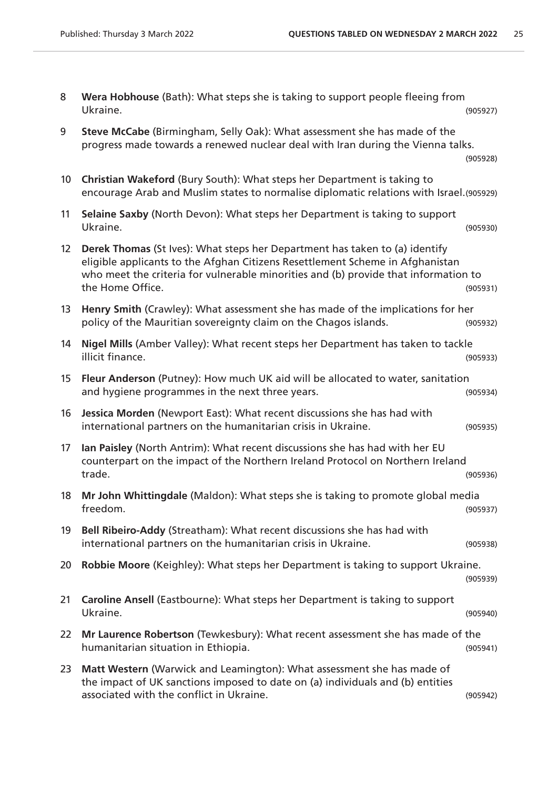| Wera Hobhouse (Bath): What steps she is taking to support people fleeing from |          |
|-------------------------------------------------------------------------------|----------|
| Ukraine.                                                                      | (905927) |

| Steve McCabe (Birmingham, Selly Oak): What assessment she has made of the       |
|---------------------------------------------------------------------------------|
| progress made towards a renewed nuclear deal with Iran during the Vienna talks. |

(905928)

10 **Christian Wakeford** (Bury South): What steps her Department is taking to encourage Arab and Muslim states to normalise diplomatic relations with Israel.(905929)

| 11 Selaine Saxby (North Devon): What steps her Department is taking to support |          |
|--------------------------------------------------------------------------------|----------|
| Ukraine.                                                                       | (905930) |

| 12 Derek Thomas (St Ives): What steps her Department has taken to (a) identify      |          |
|-------------------------------------------------------------------------------------|----------|
| eligible applicants to the Afghan Citizens Resettlement Scheme in Afghanistan       |          |
| who meet the criteria for vulnerable minorities and (b) provide that information to |          |
| the Home Office.                                                                    | (905931) |

13 **Henry Smith** (Crawley): What assessment she has made of the implications for her policy of the Mauritian sovereignty claim on the Chagos islands. (905932)

| 14 Nigel Mills (Amber Valley): What recent steps her Department has taken to tackle |          |
|-------------------------------------------------------------------------------------|----------|
| illicit finance.                                                                    | (905933) |

- 15 **Fleur Anderson** (Putney): How much UK aid will be allocated to water, sanitation and hygiene programmes in the next three years. The same state of the season (905934)
- 16 **Jessica Morden** (Newport East): What recent discussions she has had with international partners on the humanitarian crisis in Ukraine. (905935)

| 17 Ian Paisley (North Antrim): What recent discussions she has had with her EU |          |
|--------------------------------------------------------------------------------|----------|
| counterpart on the impact of the Northern Ireland Protocol on Northern Ireland |          |
| trade.                                                                         | (905936) |

18 **Mr John Whittingdale** (Maldon): What steps she is taking to promote global media freedom. (905937)

| 19 Bell Ribeiro-Addy (Streatham): What recent discussions she has had with |          |
|----------------------------------------------------------------------------|----------|
| international partners on the humanitarian crisis in Ukraine.              | (905938) |

20 **Robbie Moore** (Keighley): What steps her Department is taking to support Ukraine.

|               | (905939) |
|---------------|----------|
| $\frac{1}{2}$ |          |

- 21 **Caroline Ansell** (Eastbourne): What steps her Department is taking to support Ukraine. (905940)
- 22 **Mr Laurence Robertson** (Tewkesbury): What recent assessment she has made of the humanitarian situation in Ethiopia. (905941)
- 23 **Matt Western** (Warwick and Leamington): What assessment she has made of the impact of UK sanctions imposed to date on (a) individuals and (b) entities associated with the conflict in Ukraine. (905942)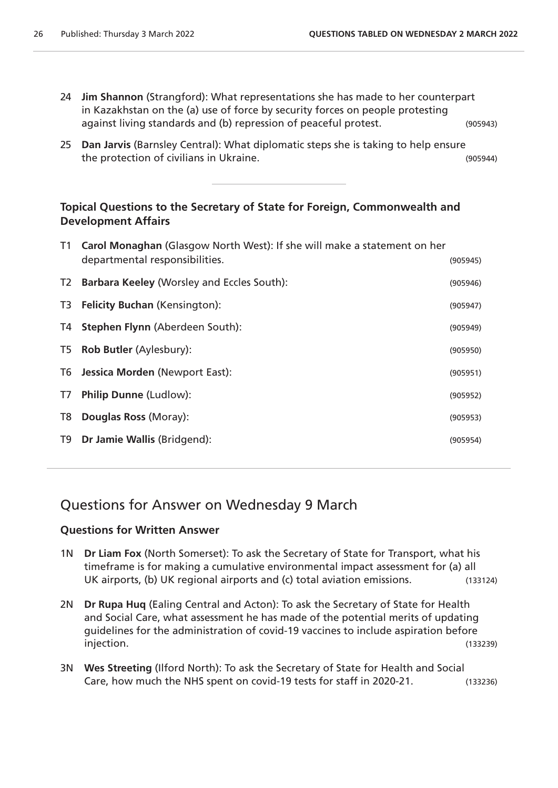- 24 **Jim Shannon** (Strangford): What representations she has made to her counterpart in Kazakhstan on the (a) use of force by security forces on people protesting against living standards and (b) repression of peaceful protest. (905943)
- 25 **Dan Jarvis** (Barnsley Central): What diplomatic steps she is taking to help ensure the protection of civilians in Ukraine. (905944)



|                | T1 Carol Monaghan (Glasgow North West): If she will make a statement on her<br>departmental responsibilities. | (905945) |
|----------------|---------------------------------------------------------------------------------------------------------------|----------|
| T <sub>2</sub> | <b>Barbara Keeley (Worsley and Eccles South):</b>                                                             | (905946) |
| T3             | <b>Felicity Buchan (Kensington):</b>                                                                          | (905947) |
| T4             | <b>Stephen Flynn (Aberdeen South):</b>                                                                        | (905949) |
| T <sub>5</sub> | Rob Butler (Aylesbury):                                                                                       | (905950) |
| T6             | <b>Jessica Morden (Newport East):</b>                                                                         | (905951) |
| T7             | <b>Philip Dunne (Ludlow):</b>                                                                                 | (905952) |
| T <sub>8</sub> | Douglas Ross (Moray):                                                                                         | (905953) |
| T9             | Dr Jamie Wallis (Bridgend):                                                                                   | (905954) |
|                |                                                                                                               |          |

## Questions for Answer on Wednesday 9 March

#### **Questions for Written Answer**

- 1N **Dr Liam Fox** (North Somerset): To ask the Secretary of State for Transport, what his timeframe is for making a cumulative environmental impact assessment for (a) all UK airports, (b) UK regional airports and (c) total aviation emissions. (133124)
- 2N **Dr Rupa Huq** (Ealing Central and Acton): To ask the Secretary of State for Health and Social Care, what assessment he has made of the potential merits of updating guidelines for the administration of covid-19 vaccines to include aspiration before injection. (133239)
- 3N **Wes Streeting** (Ilford North): To ask the Secretary of State for Health and Social Care, how much the NHS spent on covid-19 tests for staff in 2020-21. (133236)